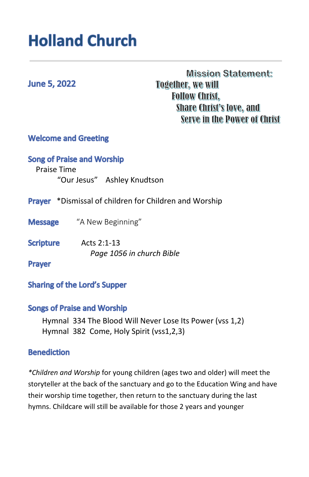# **Holland Church**

# **June 5, 2022**

**Mission Statement: Together, we will Follow Christ, Share Christ's love, and** Serve in the Power of Christ

## **Welcome and Greeting**

## **Song of Praise and Worship**

 Praise Time "Our Jesus" Ashley Knudtson

- **Prayer** \*Dismissal of children for Children and Worship
- **Message** "A New Beginning"
- **Scripture** Acts 2:1-13 *Page 1056 in church Bible*

**Prayer** 

#### **Sharing of the Lord's Supper**

#### **Songs of Praise and Worship**

Hymnal 334 The Blood Will Never Lose Its Power (vss 1,2) Hymnal 382 Come, Holy Spirit (vss1,2,3)

#### **Benediction**

*\*Children and Worship* for young children (ages two and older) will meet the storyteller at the back of the sanctuary and go to the Education Wing and have their worship time together, then return to the sanctuary during the last hymns. Childcare will still be available for those 2 years and younger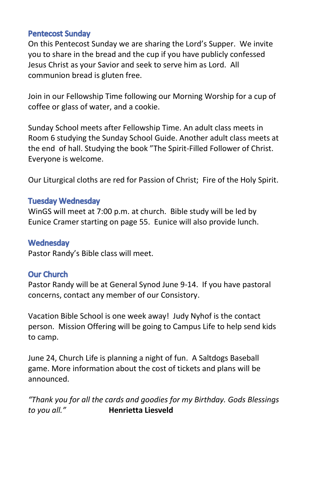#### **Pentecost Sunday**

On this Pentecost Sunday we are sharing the Lord's Supper. We invite you to share in the bread and the cup if you have publicly confessed Jesus Christ as your Savior and seek to serve him as Lord. All communion bread is gluten free.

Join in our Fellowship Time following our Morning Worship for a cup of coffee or glass of water, and a cookie.

Sunday School meets after Fellowship Time. An adult class meets in Room 6 studying the Sunday School Guide. Another adult class meets at the end of hall. Studying the book "The Spirit-Filled Follower of Christ. Everyone is welcome.

Our Liturgical cloths are red for Passion of Christ; Fire of the Holy Spirit.

#### **Tuesday Wednesday**

WinGS will meet at 7:00 p.m. at church. Bible study will be led by Eunice Cramer starting on page 55. Eunice will also provide lunch.

#### Wednesday

Pastor Randy's Bible class will meet.

#### **Our Church**

Pastor Randy will be at General Synod June 9-14. If you have pastoral concerns, contact any member of our Consistory.

Vacation Bible School is one week away! Judy Nyhof is the contact person. Mission Offering will be going to Campus Life to help send kids to camp.

June 24, Church Life is planning a night of fun. A Saltdogs Baseball game. More information about the cost of tickets and plans will be announced.

*"Thank you for all the cards and goodies for my Birthday. Gods Blessings to you all."* **Henrietta Liesveld**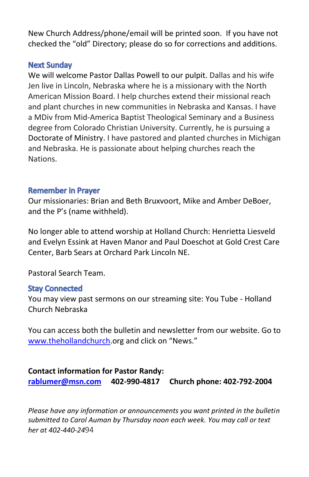New Church Address/phone/email will be printed soon. If you have not checked the "old" Directory; please do so for corrections and additions.

#### **Next Sunday**

We will welcome Pastor Dallas Powell to our pulpit. Dallas and his wife Jen live in Lincoln, Nebraska where he is a missionary with the North American Mission Board. I help churches extend their missional reach and plant churches in new communities in Nebraska and Kansas. I have a MDiv from Mid-America Baptist Theological Seminary and a Business degree from Colorado Christian University. Currently, he is pursuing a Doctorate of Ministry. I have pastored and planted churches in Michigan and Nebraska. He is passionate about helping churches reach the Nations.

#### **Remember in Praver**

Our missionaries: Brian and Beth Bruxvoort, Mike and Amber DeBoer, and the P's (name withheld).

No longer able to attend worship at Holland Church: Henrietta Liesveld and Evelyn Essink at Haven Manor and Paul Doeschot at Gold Crest Care Center, Barb Sears at Orchard Park Lincoln NE.

Pastoral Search Team.

#### **Stay Connected**

You may view past sermons on our streaming site: You Tube - Holland Church Nebraska

You can access both the bulletin and newsletter from our website. Go to [www.thehollandchurch](http://www.thehollandchurch/).org and click on "News."

**Contact information for Pastor Randy: [rablumer@msn.com](mailto:rablumer@msn.com) 402-990-4817 Church phone: 402-792-2004**

*Please have any information or announcements you want printed in the bulletin submitted to Carol Auman by Thursday noon each week. You may call or text her at 402-440-24*94